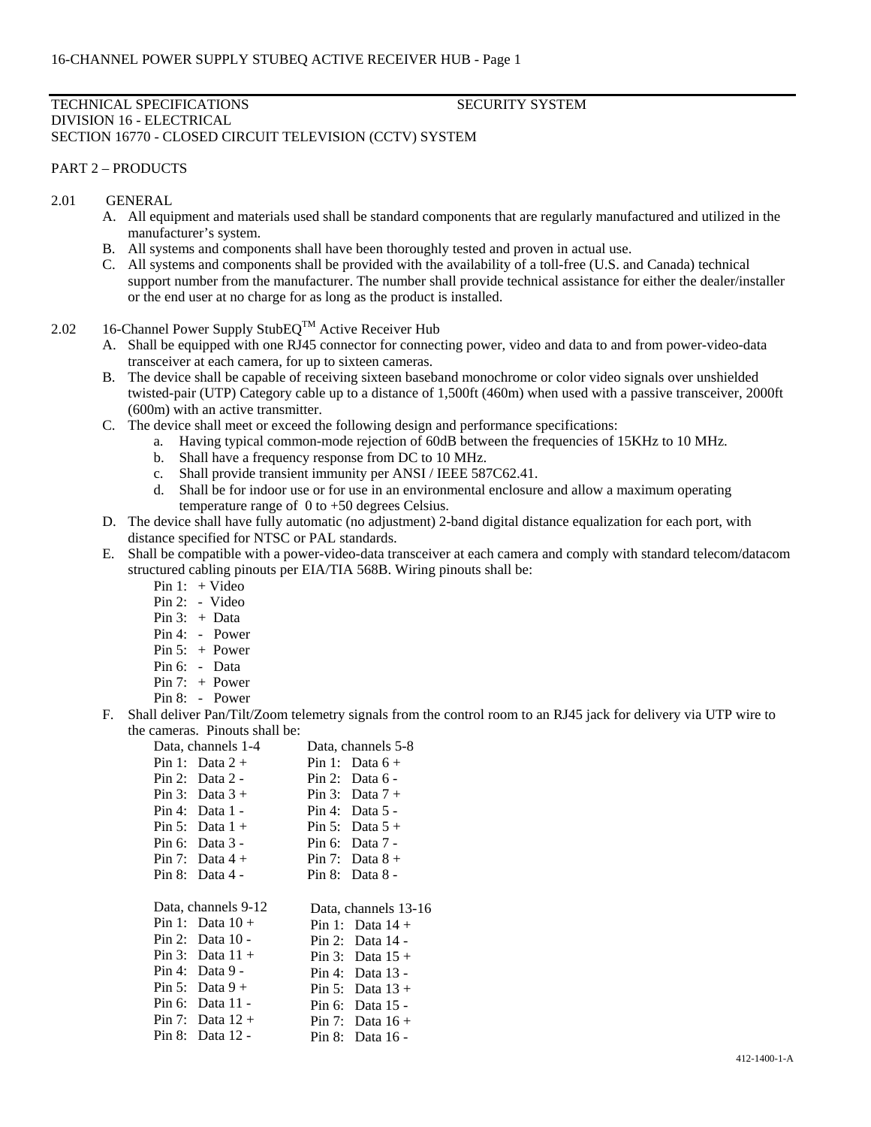## TECHNICAL SPECIFICATIONS SECURITY SYSTEM DIVISION 16 - ELECTRICAL SECTION 16770 - CLOSED CIRCUIT TELEVISION (CCTV) SYSTEM

## PART 2 – PRODUCTS

## 2.01 GENERAL

- A. All equipment and materials used shall be standard components that are regularly manufactured and utilized in the manufacturer's system.
- B. All systems and components shall have been thoroughly tested and proven in actual use.
- C. All systems and components shall be provided with the availability of a toll-free (U.S. and Canada) technical support number from the manufacturer. The number shall provide technical assistance for either the dealer/installer or the end user at no charge for as long as the product is installed.
- 2.02 16-Channel Power Supply StubEQ<sup>TM</sup> Active Receiver Hub
	- A. Shall be equipped with one RJ45 connector for connecting power, video and data to and from power-video-data transceiver at each camera, for up to sixteen cameras.
	- B. The device shall be capable of receiving sixteen baseband monochrome or color video signals over unshielded twisted-pair (UTP) Category cable up to a distance of 1,500ft (460m) when used with a passive transceiver, 2000ft (600m) with an active transmitter.
	- C. The device shall meet or exceed the following design and performance specifications:
		- a. Having typical common-mode rejection of 60dB between the frequencies of 15KHz to 10 MHz.
		- b. Shall have a frequency response from DC to 10 MHz.
		- c. Shall provide transient immunity per ANSI / IEEE 587C62.41.
		- d. Shall be for indoor use or for use in an environmental enclosure and allow a maximum operating temperature range of 0 to +50 degrees Celsius.
	- D. The device shall have fully automatic (no adjustment) 2-band digital distance equalization for each port, with distance specified for NTSC or PAL standards.
	- E. Shall be compatible with a power-video-data transceiver at each camera and comply with standard telecom/datacom structured cabling pinouts per EIA/TIA 568B. Wiring pinouts shall be:
		- Pin 1:  $+$  Video
		- Pin 2: Video
		- Pin 3: + Data
		- Pin 4: Power
		- Pin 5: + Power
		- Pin 6: Data
		- Pin 7: + Power
		- Pin 8: Power
	- F. Shall deliver Pan/Tilt/Zoom telemetry signals from the control room to an RJ45 jack for delivery via UTP wire to the cameras. Pinouts shall be:

| Data, channels 1-4  | Data, channels 5-8   |
|---------------------|----------------------|
| Pin 1: Data $2 +$   | Pin 1: Data $6 +$    |
| Pin 2: Data $2 -$   | Pin 2: Data $6 -$    |
| Pin 3: Data $3+$    | Pin 3: Data $7 +$    |
| Pin 4: Data $1 -$   | Pin 4: Data $5 -$    |
| Pin 5: Data $1 +$   | Pin 5: Data $5 +$    |
| Pin 6: Data $3$ -   | Pin 6: Data $7 -$    |
| Pin 7: Data $4 +$   | Pin 7: Data $8 +$    |
| Pin 8: Data $4 -$   | Pin $8:$ Data $8-$   |
|                     |                      |
| Data, channels 9-12 | Data, channels 13-16 |
| Pin 1: Data $10+$   | Pin 1: Data $14 +$   |
| Pin 2: Data $10 -$  | Pin 2: Data 14 -     |
| Pin 3: Data $11 +$  | Pin 3: Data $15 +$   |
| Pin 4: Data $9-$    | Pin 4: Data $13$ -   |
| Pin 5: Data $9+$    | Pin 5: Data $13 +$   |
|                     |                      |
| Pin 6: Data $11 -$  | Pin 6: Data $15$ -   |
| Pin 7: Data $12 +$  | Pin 7: Data $16 +$   |
| Pin 8: Data 12 -    | Pin 8: Data 16 -     |